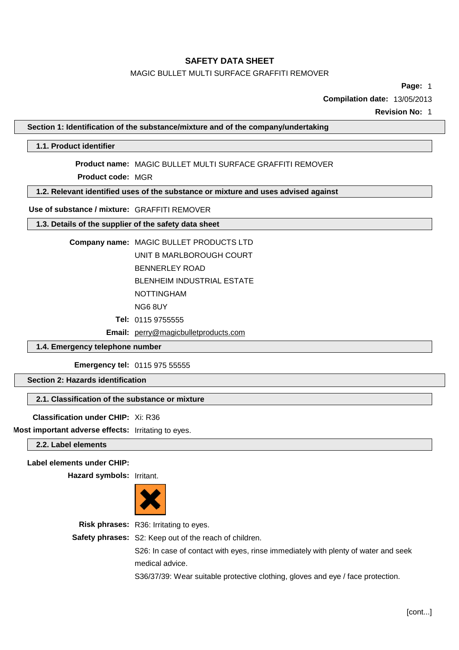# MAGIC BULLET MULTI SURFACE GRAFFITI REMOVER

**Page:** 1

**Compilation date:** 13/05/2013

**Revision No:** 1

**Section 1: Identification of the substance/mixture and of the company/undertaking**

# **1.1. Product identifier**

**Product name:** MAGIC BULLET MULTI SURFACE GRAFFITI REMOVER

**Product code:** MGR

**1.2. Relevant identified uses of the substance or mixture and uses advised against**

## **Use of substance / mixture:** GRAFFITI REMOVER

# **1.3. Details of the supplier of the safety data sheet**

| Company name: MAGIC BULLET PRODUCTS LTD |
|-----------------------------------------|
| UNIT B MARLBOROUGH COURT                |
| <b>BENNERLEY ROAD</b>                   |

BLENHEIM INDUSTRIAL ESTATE

NOTTINGHAM

NG6 8UY

**Tel:** 0115 9755555

**Email:** [perry@magicbulletproducts.com](mailto:perry@magicbulletproducts.com)

# **1.4. Emergency telephone number**

**Emergency tel:** 0115 975 55555

# **Section 2: Hazards identification**

# **2.1. Classification of the substance or mixture**

**Classification under CHIP:** Xi: R36

**Most important adverse effects:** Irritating to eyes.

**2.2. Label elements**

# **Label elements under CHIP:**

**Hazard symbols:** Irritant.



**Risk phrases:** R36: Irritating to eyes. **Safety phrases:** S2: Keep out of the reach of children. S26: In case of contact with eyes, rinse immediately with plenty of water and seek medical advice.

S36/37/39: Wear suitable protective clothing, gloves and eye / face protection.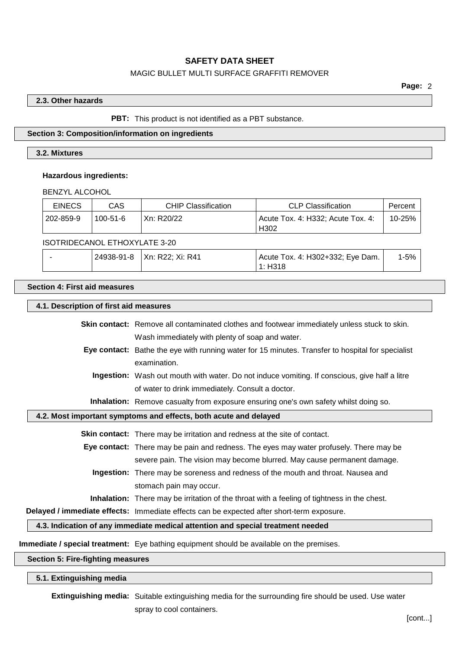# MAGIC BULLET MULTI SURFACE GRAFFITI REMOVER

### **2.3. Other hazards**

### **PBT:** This product is not identified as a PBT substance.

## **Section 3: Composition/information on ingredients**

### **3.2. Mixtures**

### **Hazardous ingredients:**

BENZYL ALCOHOL

| <b>EINECS</b> | CAS                                 | <b>CHIP Classification</b> | <b>CLP Classification</b>                             | Percent |
|---------------|-------------------------------------|----------------------------|-------------------------------------------------------|---------|
| 202-859-9     | $100 - 51 - 6$                      | Xn: R20/22                 | Acute Tox, 4: H332: Acute Tox, 4:<br>H <sub>302</sub> | 10-25%  |
|               | $100T$ DIDEO (110) ETHOVAL ATE 0.00 |                            |                                                       |         |

### ISOTRIDECANOL ETHOXYLATE 3-20

|  | 24938-91-8   Xn: R22; Xi: R41 | Acute Tox. 4: H302+332; Eye Dam. | $-5%$ |
|--|-------------------------------|----------------------------------|-------|
|  |                               | 1: H318                          |       |

# **Section 4: First aid measures**

### **4.1. Description of first aid measures**

**Skin contact:** Remove all contaminated clothes and footwear immediately unless stuck to skin. Wash immediately with plenty of soap and water.

**Eye contact:** Bathe the eye with running water for 15 minutes. Transfer to hospital for specialist examination.

**Ingestion:** Wash out mouth with water. Do not induce vomiting. If conscious, give half a litre of water to drink immediately. Consult a doctor.

**Inhalation:** Remove casualty from exposure ensuring one's own safety whilst doing so.

### **4.2. Most important symptoms and effects, both acute and delayed**

**Skin contact:** There may be irritation and redness at the site of contact.

**Eye contact:** There may be pain and redness. The eyes may water profusely. There may be severe pain. The vision may become blurred. May cause permanent damage.

**Ingestion:** There may be soreness and redness of the mouth and throat. Nausea and stomach pain may occur.

**Inhalation:** There may be irritation of the throat with a feeling of tightness in the chest.

**Delayed / immediate effects:** Immediate effects can be expected after short-term exposure.

**4.3. Indication of any immediate medical attention and special treatment needed**

**Immediate / special treatment:** Eye bathing equipment should be available on the premises.

## **Section 5: Fire-fighting measures**

#### **5.1. Extinguishing media**

**Extinguishing media:** Suitable extinguishing media for the surrounding fire should be used. Use water spray to cool containers.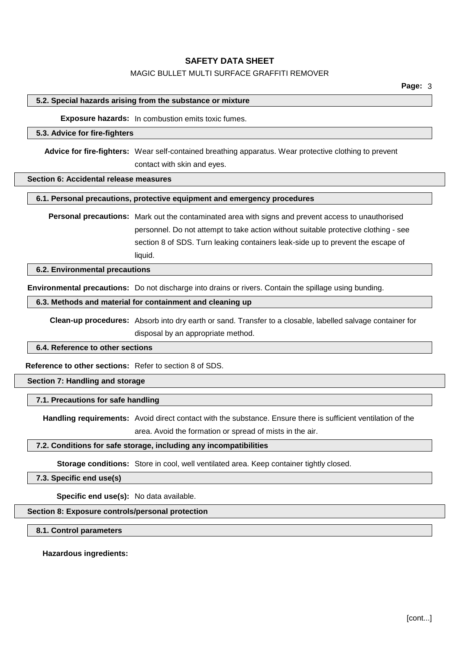# MAGIC BULLET MULTI SURFACE GRAFFITI REMOVER

## **5.2. Special hazards arising from the substance or mixture**

**Exposure hazards:** In combustion emits toxic fumes.

### **5.3. Advice for fire-fighters**

**Advice for fire-fighters:** Wear self-contained breathing apparatus. Wear protective clothing to prevent contact with skin and eyes.

#### **Section 6: Accidental release measures**

### **6.1. Personal precautions, protective equipment and emergency procedures**

**Personal precautions:** Mark out the contaminated area with signs and prevent access to unauthorised personnel. Do not attempt to take action without suitable protective clothing - see section 8 of SDS. Turn leaking containers leak-side up to prevent the escape of liquid.

**6.2. Environmental precautions**

**Environmental precautions:** Do not discharge into drains or rivers. Contain the spillage using bunding.

## **6.3. Methods and material for containment and cleaning up**

**Clean-up procedures:** Absorb into dry earth or sand. Transfer to a closable, labelled salvage container for disposal by an appropriate method.

### **6.4. Reference to other sections**

**Reference to other sections:** Refer to section 8 of SDS.

**Section 7: Handling and storage**

### **7.1. Precautions for safe handling**

**Handling requirements:** Avoid direct contact with the substance. Ensure there is sufficient ventilation of the area. Avoid the formation or spread of mists in the air.

### **7.2. Conditions for safe storage, including any incompatibilities**

**Storage conditions:** Store in cool, well ventilated area. Keep container tightly closed.

**7.3. Specific end use(s)**

**Specific end use(s):** No data available.

**Section 8: Exposure controls/personal protection**

# **8.1. Control parameters**

**Hazardous ingredients:**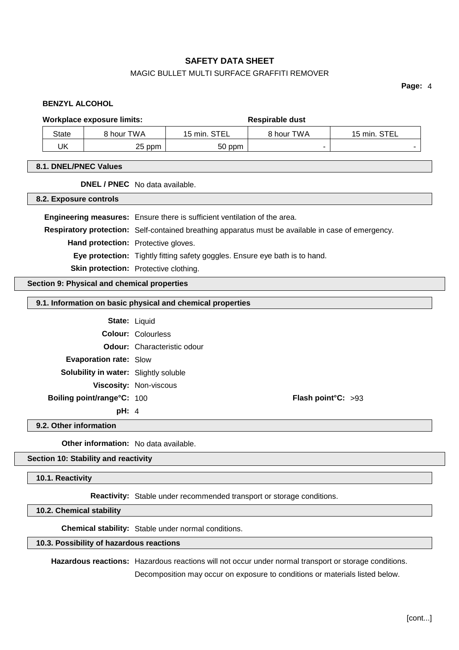# MAGIC BULLET MULTI SURFACE GRAFFITI REMOVER

**Page:** 4

### **BENZYL ALCOHOL**

#### **Workplace exposure limits: Respirable dust**

| <b>State</b> | 8 hour TWA      | STEI<br>$15 \text{ min.}$<br>느느 | २ hour TWA | <b>STEL</b><br>$15$ min. |
|--------------|-----------------|---------------------------------|------------|--------------------------|
| UK           | つに<br>ppm<br>ںے | 50 ppm                          |            |                          |

# **8.1. DNEL/PNEC Values**

**DNEL / PNEC** No data available.

**8.2. Exposure controls**

**Engineering measures:** Ensure there is sufficient ventilation of the area. **Respiratory protection:** Self-contained breathing apparatus must be available in case of emergency. **Hand protection:** Protective gloves. **Eye protection:** Tightly fitting safety goggles. Ensure eye bath is to hand. **Skin protection:** Protective clothing.

**Section 9: Physical and chemical properties**

### **9.1. Information on basic physical and chemical properties**

| <b>State: Liquid</b>                         |                                    |                              |  |
|----------------------------------------------|------------------------------------|------------------------------|--|
|                                              | <b>Colour: Colourless</b>          |                              |  |
|                                              | <b>Odour:</b> Characteristic odour |                              |  |
| <b>Evaporation rate: Slow</b>                |                                    |                              |  |
| <b>Solubility in water:</b> Slightly soluble |                                    |                              |  |
|                                              | <b>Viscosity: Non-viscous</b>      |                              |  |
| Boiling point/range°C: 100                   |                                    | <b>Flash point °C:</b> $>93$ |  |
|                                              |                                    |                              |  |

**pH:** 4

**9.2. Other information**

**Other information:** No data available.

**Section 10: Stability and reactivity**

**10.1. Reactivity**

**Reactivity:** Stable under recommended transport or storage conditions.

**10.2. Chemical stability**

**Chemical stability:** Stable under normal conditions.

# **10.3. Possibility of hazardous reactions**

**Hazardous reactions:** Hazardous reactions will not occur under normal transport or storage conditions.

Decomposition may occur on exposure to conditions or materials listed below.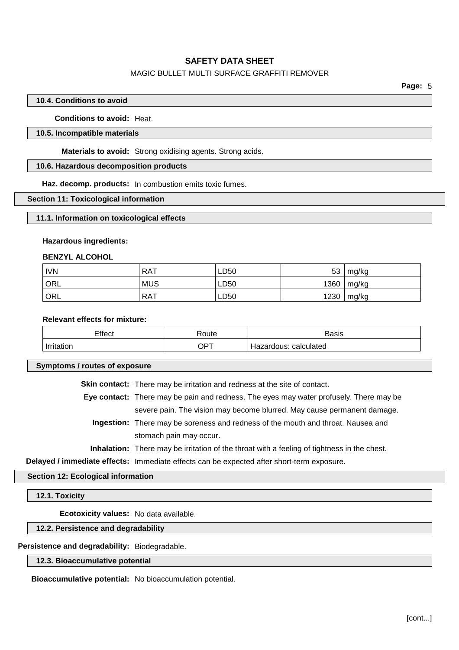# MAGIC BULLET MULTI SURFACE GRAFFITI REMOVER

## **10.4. Conditions to avoid**

**Conditions to avoid:** Heat.

# **10.5. Incompatible materials**

**Materials to avoid:** Strong oxidising agents. Strong acids.

# **10.6. Hazardous decomposition products**

**Haz. decomp. products:** In combustion emits toxic fumes.

## **Section 11: Toxicological information**

## **11.1. Information on toxicological effects**

## **Hazardous ingredients:**

## **BENZYL ALCOHOL**

| <b>IVN</b> | <b>RAT</b> | LD50 | 53   | mg/kg   |
|------------|------------|------|------|---------|
| ORL        | <b>MUS</b> | LD50 | 1360 | ˈ mg/kg |
| ORL        | <b>RAT</b> | LD50 | 1230 | mg/kg   |

# **Relevant effects for mixture:**

| Effect     | ≺oute         | Basis                 |
|------------|---------------|-----------------------|
| Irritation | $\bigcirc$ PT | Hazardous: calculated |

**Symptoms / routes of exposure**

**Skin contact:** There may be irritation and redness at the site of contact.

**Eye contact:** There may be pain and redness. The eyes may water profusely. There may be severe pain. The vision may become blurred. May cause permanent damage.

**Ingestion:** There may be soreness and redness of the mouth and throat. Nausea and stomach pain may occur.

**Inhalation:** There may be irritation of the throat with a feeling of tightness in the chest.

**Delayed / immediate effects:** Immediate effects can be expected after short-term exposure.

### **Section 12: Ecological information**

### **12.1. Toxicity**

**Ecotoxicity values:** No data available.

# **12.2. Persistence and degradability**

# **Persistence and degradability:** Biodegradable.

**12.3. Bioaccumulative potential**

**Bioaccumulative potential:** No bioaccumulation potential.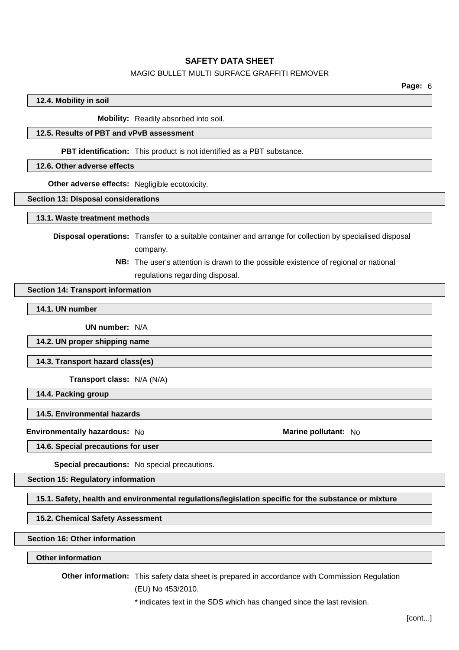## MAGIC BULLET MULTI SURFACE GRAFFITI REMOVER

# **12.4. Mobility in soil**

**Mobility:** Readily absorbed into soil.

### **12.5. Results of PBT and vPvB assessment**

**PBT identification:** This product is not identified as a PBT substance.

# **12.6. Other adverse effects**

**Other adverse effects:** Negligible ecotoxicity.

#### **Section 13: Disposal considerations**

#### **13.1. Waste treatment methods**

**Disposal operations:** Transfer to a suitable container and arrange for collection by specialised disposal company.

> **NB:** The user's attention is drawn to the possible existence of regional or national regulations regarding disposal.

#### **Section 14: Transport information**

**14.1. UN number**

**UN number:** N/A

**14.2. UN proper shipping name**

**14.3. Transport hazard class(es)**

**Transport class:** N/A (N/A)

**14.4. Packing group**

#### **14.5. Environmental hazards**

**Environmentally hazardous:** No **Marine pollutant:** No

**14.6. Special precautions for user**

**Special precautions:** No special precautions.

**Section 15: Regulatory information**

**15.1. Safety, health and environmental regulations/legislation specific for the substance or mixture**

# **15.2. Chemical Safety Assessment**

**Section 16: Other information**

# **Other information**

**Other information:** This safety data sheet is prepared in accordance with Commission Regulation (EU) No 453/2010.

\* indicates text in the SDS which has changed since the last revision.